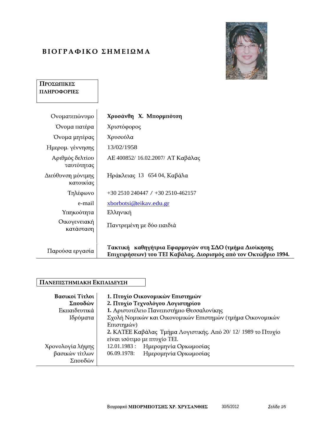# ΒΙΟΓΡΑΦΙΚΟ ΣΗΜΕΙΩΜΑ



## ΠΡΟΣΩΠΙΚΕΣ ΠΛΗΡΟΦΟΡΙΕΣ

| Ονοματεπώνυμο                  | Χρυσάνθη Χ. Μπορμπότση                                                                                                   |  |
|--------------------------------|--------------------------------------------------------------------------------------------------------------------------|--|
| Όνομα πατέρα                   | Χριστόφορος                                                                                                              |  |
| Όνομα μητέρας                  | Χρυσούλα                                                                                                                 |  |
| Ημερομ. γέννησης               | 13/02/1958                                                                                                               |  |
| Αριθμός δελτίου<br>⊤αυτότητας  | ΑΕ 400852/ 16.02.2007/ ΑΤ Καβάλας                                                                                        |  |
| Διεύθυνση μόνιμης<br>κατοικίας | Ηράκλειας 13 654 04, Καβάλα                                                                                              |  |
| Τηλέφωνο                       | +30 2510 240447 / +30 2510-462157                                                                                        |  |
| e-mail                         | xborbotsi@teikav.edu.gr                                                                                                  |  |
| Υπηκοότητα                     | Ελληνική                                                                                                                 |  |
| Οικογενειακή<br>κατάσταση      | Παντρεμένη με δύο παιδιά                                                                                                 |  |
|                                |                                                                                                                          |  |
| Παρούσα εργασία                | Τακτική καθηγήτρια Εφαρμογών στη ΣΔΟ (τμήμα Διοίκησης<br>Επιχειρήσεων) του ΤΕΙ Καβάλας. Διορισμός από τον Οκτώβριο 1994. |  |

### ΠΑΝΕΠΙΣΤΗΜΙΑΚΗ ΕΚΠΑΙΔΕΥΣΗ

| Βασικοί Τίτλοι   | 1. Πτυχίο Οικονομικών Επιστημών                               |
|------------------|---------------------------------------------------------------|
| Σπουδών          | 2. Πτυχίο Τεχνολόγου Λογιστηρίου                              |
| Εκπαιδευτικά     | 1. Αριστοτέλειο Πανεπιστήμιο Θεσσαλονίκης                     |
| Ιδρύματα         | Σχολή Νομικών και Οικονομικών Επιστημών (τμήμα Οικονομικών    |
|                  | Επιστημών)                                                    |
|                  | 2. ΚΑΤΕΕ Καβάλας Τμήμα Λογιστικής. Από 20/ 12/ 1989 το Πτυχίο |
|                  | είναι ισότιμο με πτυχίο TEI.                                  |
| Χρονολογία λήψης | 12.01.1983 : Ημερομηνία Ορκωμοσίας                            |
| βασικών τίτλων   | 06.09.1978:<br>Ημερομηνία Ορκωμοσίας                          |
| Σπουδών          |                                                               |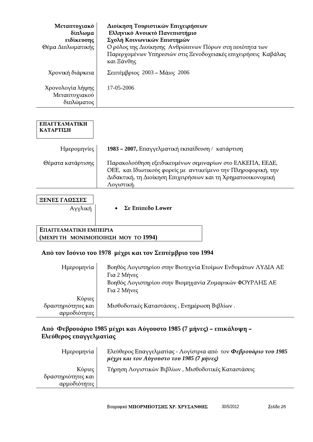| Μεταπτυχιακό <sup>ι</sup>      | Διοίκηση Τουριστικών Επιχειρήσεων                              |
|--------------------------------|----------------------------------------------------------------|
| δίπλωμα                        | Ελληνικό Ανοικτό Πανεπιστήμιο                                  |
| ειδίκευσης                     | Σχολή Κοινωνικών Επιστημών                                     |
| ⊝έμα Διπλωματικής <sup>∣</sup> | Ο ρόλος της Διοίκησης Ανθρώπινων Πόρων στη ποιότητα των        |
|                                | Παρερχομένων Υπηρεσιών στις Ξενοδοχειακές επιχειρήσεις Καβάλας |
|                                | και Ξάνθης                                                     |
| Χρονική διάρκεια               | Σεπτέμβριος 2003 - Μάιος 2006                                  |
| Χρονολογία λήψης               | 17-05-2006                                                     |
| Μεταπτυχιακού                  |                                                                |
| διπλώματος                     |                                                                |

| ΕΕΝΕΣ ΓΛΩΣΣΕΣ                  |                                     |
|--------------------------------|-------------------------------------|
| Αγγλική                        | Σε Επίπεδο Lower                    |
|                                |                                     |
|                                |                                     |
| <b>E</b> ΠΑΓΓΕΛΜΑΤΙΚΗ ΕΜΠΕΙΡΙΑ |                                     |
|                                | (MEXPI TH MONIMOΠOIHEH MOY TO 1994) |

### Από τον Ιούνιο του 1978 μέχρι και τον Σεπτέμβριο του 1994

| Ημερομηνία         | Βοηθός Λογιστηρίου στην Βιοτεχνία Ετοίμων Ενδυμάτων ΛΥΔΙΑ ΑΕ |  |
|--------------------|--------------------------------------------------------------|--|
|                    | Για 2 Μήνες                                                  |  |
|                    | Βοηθός Λογιστηρίου στην Βιομηχανία Ζυμαρικών ΦΟΥΡΛΗΣ ΑΕ      |  |
|                    | Για 2 Μήνες                                                  |  |
| Κύριες             |                                                              |  |
| δραστηριότητες και | Μισθοδοτικές Καταστάσεις, Ενημέρωση Βιβλίων.                 |  |
| αρμοδιότητες       |                                                              |  |

# Από Φεβρουάριο 1985 μέχρι και Αύγουστο 1985 (7 μήνες) – επικάλυψη –<br>Ελεύθερος επαγγελματίας

| Ημερομηνία                        | Ελεύθερος Επαγγελματίας - Λογίστρια από τον Φεβρουάριο του 1985<br>μέχρι και τον Αύγουστο του 1985 (7 μήνες) |
|-----------------------------------|--------------------------------------------------------------------------------------------------------------|
|                                   |                                                                                                              |
| Κύριες                            | Τήρηση Λογιστικών Βιβλίων , Μισθοδοτικές Καταστάσεις                                                         |
| - δραστηριότητες και <sub>τ</sub> |                                                                                                              |
| αρμοδιότητες                      |                                                                                                              |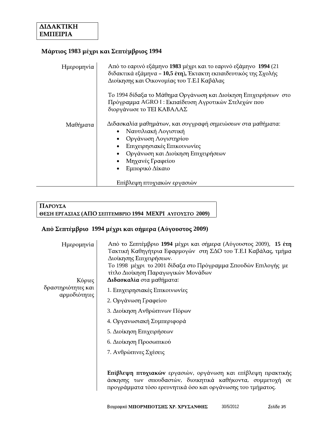## **Μάρτιος 1983 μέχρι και Σεπτέμβριος 1994**

# **ΠΑΡΟΥΣΑ**<br>ΘΕΣΗ ΕΡΓΑΣΙΑΣ (ΑΠΟ ΣΕΠΤΕΜΒΡΙΟ 1994 ΜΕΧΡΙ ΑΥΓΟΥΣΤΟ 2009)

### Από Σεπτέμβριο 1994 μέχρι και σήμερα (Αύγουστος 2009)

| Ημερομηνία<br>Κύριες                   | Από το Σεπτέμβριο 1994 μέχρι και σήμερα (Αύγουστος 2009), 15 έτη<br>Τακτική Καθηγήτρια Εφαρμογών στη ΣΔΟ του Τ.Ε.Ι Καβάλας, τμήμα<br>Διοίκησης Επιχειρήσεων.<br>Το 1998 μέχρι το 2001 δίδαξα στο Πρόγραμμα Σπουδών Επιλογής με<br>τίτλο Διοίκηση Παραγωγικών Μονάδων<br>Διδασκαλία στα μαθήματα: |  |
|----------------------------------------|--------------------------------------------------------------------------------------------------------------------------------------------------------------------------------------------------------------------------------------------------------------------------------------------------|--|
| δραστηριότητες και  <br>  αρμοδιότητες | 1. Επιχειρησιακές Επικοινωνίες                                                                                                                                                                                                                                                                   |  |
|                                        | 2. Οργάνωση Γραφείου                                                                                                                                                                                                                                                                             |  |
|                                        | 3. Διοίκηση Ανθρώπινων Πόρων                                                                                                                                                                                                                                                                     |  |
|                                        | 4. Οργανωσιακή Συμπεριφορά                                                                                                                                                                                                                                                                       |  |
|                                        | 5. Διοίκηση Επιχειρήσεων                                                                                                                                                                                                                                                                         |  |
|                                        | 6. Διοίκηση Προσωπικού                                                                                                                                                                                                                                                                           |  |
|                                        | 7. Ανθρώπινες Σχέσεις                                                                                                                                                                                                                                                                            |  |
|                                        | Επίβλεψη πτυχιακών εργασιών, οργάνωση και επίβλεψη πρακτικής<br>άσκησης των σπουδαστών, διοικητικά καθήκοντα, συμμετοχή σε<br>προγράμματα τόσο ερευνητικά όσο και οργάνωσης του τμήματος.                                                                                                        |  |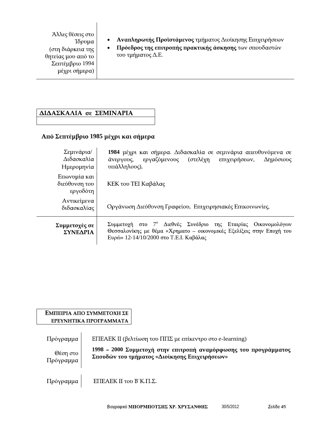Άλλες θέσεις στο Ίδρυμα θητείας μου από το 1994 )  $\vert$ 

- Αναπληρωτής Προϊστάμενος τμήματος Διοίκησης Επιχειρήσεων  $\bullet$
- (στη διάρκεια της  $\begin{vmatrix} \cdot & \cdot & \cdot \\ \cdot & \cdot & \cdot \\ \cdot & \cdot & \cdot \end{vmatrix}$  (στη διάρκεια της  $\begin{vmatrix} \cdot & \cdot & \cdot \\ \cdot & \cdot & \cdot \\ \cdot & \cdot & \cdot \end{vmatrix}$  του τμήματος Δ.Ε. . E.

### ΔΙΔΑΣΚΑΛΙΑ σε ΣΕΜΙΝΑΡΙΑ

### Από Σεπτέμβριο 1985 μέχρι και σήμερα

| Σεμινάρια/<br>Διδασκαλία<br>Ημερομηνία    | 1984 μέχρι και σήμερα. Διδασκαλία σε σεμινάρια απευθυνόμενα σε<br>(στελέχη<br>άνεργους, εργαζόμενους<br>Δημόσιους<br>επιχειρήσεων,<br>υπάλληλους),                                         |  |
|-------------------------------------------|--------------------------------------------------------------------------------------------------------------------------------------------------------------------------------------------|--|
| Επωνυμία και<br>διεύθυνση του<br>εργοδότη | KEK του TEI Καβάλας                                                                                                                                                                        |  |
| Αντικείμενα  <br>διδασκαλίας              | Οργάνωση Διεύθυνση Γραφείου, Επιχειρησιακές Επικοινωνίες,                                                                                                                                  |  |
| Συμμετοχές σε  <br>ΣΥΝΕΔΡΙΑ               | Συμμετοχή στο 7 <sup>ο</sup> Διεθνές Συνέδριο της Εταιρίας Οικονομολόγων<br>Θεσσαλονίκης με θέμα «Χρηματο - οικονομικές Εξελίξεις στην Εποχή του<br>Ευρώ» 12-14/10/2000 στο Τ.Ε.Ι. Καβάλας |  |

#### ΕΜΠΕΙΡΙΑ ΑΠΟ ΣΥΜΜΕΤΟΧΗ ΣΕ ЕРЕҮННТІКА ПРОГРАММАТА

| Πρόγραμμα               | ΕΠΕΑΕΚ ΙΙ (βελτίωση του ΠΠΣ με επίκεντρο στο e-learning)                                                          |
|-------------------------|-------------------------------------------------------------------------------------------------------------------|
| Θέση στο  <br>Πρόγραμμα | 1998 - 2000 Συμμετοχή στην επιτροπή αναμόρφωσης του προγράμματος<br>Σπουδών του τμήματος «Διοίκησης Επιχειρήσεων» |
| Πρόγραμμα               | ΕΠΕΑΕΚ ΙΙ του Β'Κ.Π.Σ.                                                                                            |